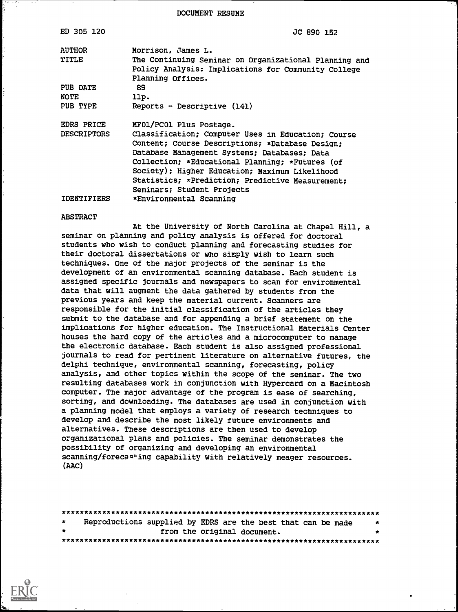DOCUMENT RESUME

| ED 305 120         | JC 890 152                                                                                                   |
|--------------------|--------------------------------------------------------------------------------------------------------------|
| <b>AUTHOR</b>      | Morrison, James L.                                                                                           |
| <b>TITLE</b>       | The Continuing Seminar on Organizational Planning and<br>Policy Analysis: Implications for Community College |
| PUB DATE           | Planning Offices.<br>89                                                                                      |
| <b>NOTE</b>        | llp.                                                                                                         |
| PUB TYPE           | $Reports - Descriptive (141)$                                                                                |
| EDRS PRICE         | MFO1/PCO1 Plus Postage.                                                                                      |
| <b>DESCRIPTORS</b> | Classification; Computer Uses in Education; Course<br>Content; Course Descriptions; *Database Design;        |
|                    | Database Management Systems; Databases; Data                                                                 |
|                    | Collection; *Educational Planning; *Futures (of                                                              |
|                    | Society); Higher Education; Maximum Likelihood                                                               |
|                    | Statistics; *Prediction; Predictive Measurement;                                                             |
|                    | Seminars; Student Projects                                                                                   |
| IDENTIFIERS        | *Environmental Scanning                                                                                      |

#### ABSTRACT

At the University of North Carolina at Chapel Hill, a seminar on planning and policy analysis is offered for doctoral students who wish to conduct planning and forecasting studies for their doctoral dissertations or who simply wish to learn such techniques. One of the major projects of the seminar is the development of an environmental scanning database. Each student is assigned specific journals and newspapers to scan for environmental data that will augment the data gathered by students from the previous years and keep the material current. Scanners are responsible for the initial classification of the articles they submit to the database and for appending a brief statement on the implications for higher education. The Instructional Materials Center houses the hard copy of the articles and a microcomputer to manage the electronic database. Each student is also assigned professional journals to read for pertinent literature on alternative futures, the delphi technique, environmental scanning, forecasting, policy analysis, and other topics within the scope of the seminar. The two resulting databases work in conjunction with Hypercard on a Macintosh computer. The major advantage of the program is ease of searching, sorting, and downloading. The databases are used in conjunction with a planning model that employs a variety of research techniques to develop and describe the most likely future environments and alternatives. These descriptions are then used to develop organizational plans and policies. The seminar demonstrates the possibility of organizing and developing an environmental scanning/forecasting capability with relatively meager resources. (AAC)

| $\star$   |  |  |  | Reproductions supplied by EDRS are the best that can be made | $\star$ |  |  |  |
|-----------|--|--|--|--------------------------------------------------------------|---------|--|--|--|
| $\bullet$ |  |  |  | from the original document.                                  |         |  |  |  |
|           |  |  |  |                                                              |         |  |  |  |

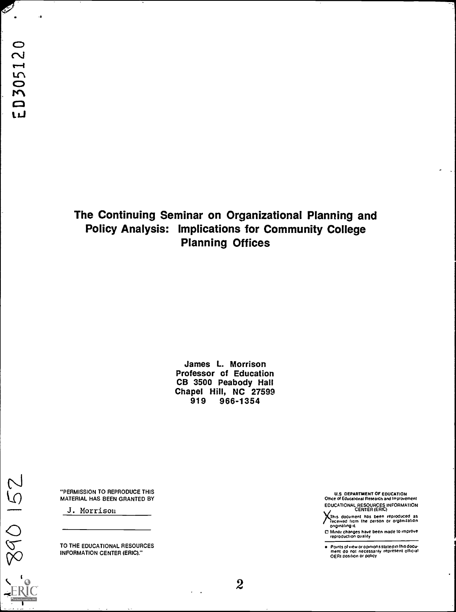$\mathscr{P}$ 

-a

# The Continuing Seminar on Organizational Planning and Policy Analysis: Implications for Community College Planning Offices

James L. Morrison Professor of Education CB 3500 Peabody Hall Chapel Hill, NC 27599<br>919 966-1354 966-1354

"PERMISSION TO REPRODUCE THIS MATERIAL HAS BEEN GRANTED BY

J. Morrison

890 152

TO THE EDUCATIONAL RESOURCES INFORMATION CENTER (ERIC)."

U.S DEPARTMENT OF EDUCATION Otbce of Educahonal Research and Improvement EDUCATIONAL RESOURCES INFORMATION CENTER (ERIC)

This document has been reproduced as<br>Teceived from the person or organization<br>originating it

0 Mmor changes have been made to improve reproduction Quality

Points of view or opinions stated in this docu-<br>ment-do-not-necessarily-represent-official<br>OERI position or policy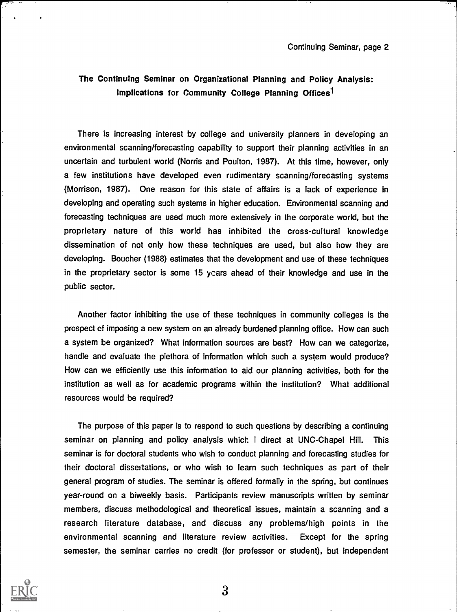## The Continuing Seminar on Organizational Planning and Policy Analysis: Implications for Community College Planning Offices<sup>1</sup>

There is increasing interest by college and university planners in developing an environmental scanning/forecasting capability to support their planning activities in an uncertain and turbulent world (Norris and Poulton, 1987). At this time, however, only a few institutions have developed even rudimentary scanning/forecasting systems (Morrison, 1987). One reason for this state of affairs is a lack of experience in developing and operating such systems in higher education. Environmental scanning and forecasting techniques are used much more extensively in the corporate world, but the proprietary nature of this world has inhibited the cross-cultural knowledge dissemination of not only how these techniques are used, but also how they are developing. Boucher (1988) estimates that the development and use of these techniques in the proprietary sector is some 15 ycars ahead of their knowledge and use in the public sector.

Another factor inhibiting the use of these techniques in community colleges is the prospect of imposing a new system on an already burdened planning office. How can such a system be organized? What information sources are best? How can we categorize, handle and evaluate the plethora of information which such a system would produce? How can we efficiently use this information to aid our planning activities, both for the institution as well as for academic programs within the institution? What additional resources would be required?

The purpose of this paper is to respond to such questions by describing a continuing seminar on planning and policy analysis which. <sup>I</sup> direct at UNC-Chapel Hill. This seminar is for doctoral students who wish to conduct planning and forecasting studies for their doctoral dissertations, or who wish to learn such techniques as part of their general program of studies. The seminar is offered formally in the spring, but continues year-round on a biweekly basis. Participants review manuscripts written by seminar members, discuss methodological and theoretical issues, maintain a scanning and a research literature database, and discuss any problems/high points in the environmental scanning and literature review activities. Except for the spring semester, the seminar carries no credit (for professor or student), but independent

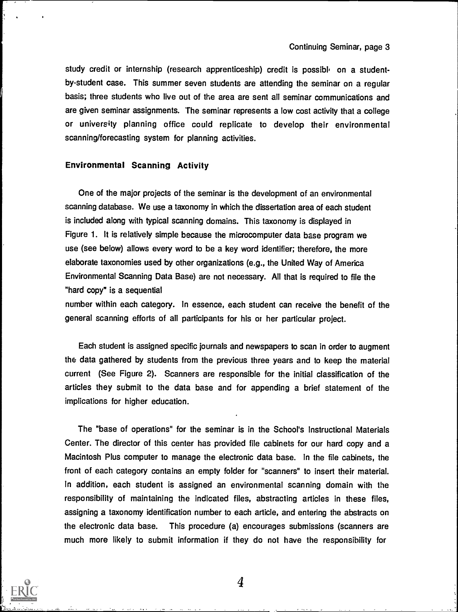study credit or internship (research apprenticeship) credit is possible on a studentby-student case. This summer seven students are attending the seminar on a regular basis; three students who live out of the area are sent all seminar communications and are given seminar assignments. The seminar represents a low cost activity that a college or university planning office could replicate to develop their environmental scanning/forecasting system for planning activities.

## Environmental Scanning Activity

One of the major projects of the seminar is the development of an environmental scanning database. We use a taxonomy in which the dissertation area of each student is included along with typical scanning domains. This taxonomy is displayed in Figure 1. It is relatively simple because the microcomputer data base program we use (see below) allows every word to be a key word identifier; therefore, the more elaborate taxonomies used by other organizations (e.g., the United Way of America Environmental Scanning Data Base) are not necessary. All that is required to file the "hard copy" is a sequential

number within each category. In essence, each student can receive the benefit of the general scanning efforts of all participants for his or her particular project.

Each student is assigned specific journals and newspapers to scan in order to augment the data gathered by students from the previous three years and to keep the material current (See Figure 2). Scanners are responsible for the initial classification of the articles they submit to the data base and for appending a brief statement of the implications for higher education.

The "base of operations" for the seminar is in the School's Instructional Materials Center. The director of this center has provided file cabinets for our hard copy and a Macintosh Plus computer to manage the electronic data base. In the file cabinets, the front of each category contains an empty folder for "scanners" to insert their material. In addition, each student is assigned an environmental scanning domain with the responsibility of maintaining the indicated files, abstracting articles in these files, assigning a taxonomy identification number to each article, and entering the abstracts on the electronic data base. This procedure (a) encourages submissions (scanners are much more likely to submit information if they do not have the responsibility for

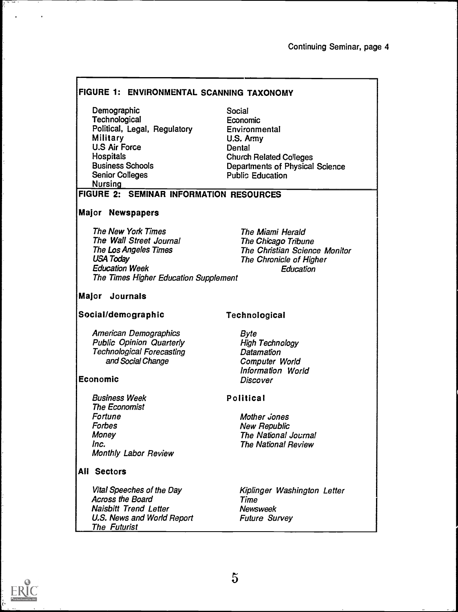## FIGURE 1: ENVIRONMENTAL SCANNING TAXONOMY

**Demographic Technological** Political, Legal, Regulatory Military U.S Air Force **Hospitals** Business Schools Senior Colleges Nursing

## Social Economic Environmental U.S. Army **Dental** Church Related Colleges Departments of Physical Science Public Education

## FIGURE 2: SEMINAR INFORMATION RESOURCES

## Major Newspapers

The New York Times The Wall Street Journal The Los Angeles Times USA Today Education Week The Times Higher Education Supplement

The Miami Herald The Chicago Tribune The Christian Science Monitor The Chronicle of Higher **Education** 

## Major Journals

## Social/demographic

American Demographics Public Opinion Quarterly Technological Forecasting and Social Change

## Economic

Business Week The Economist Fortune Forbes Money Inc. Monthly Labor Review

## All Sectors

Vital Speeches of the Day Across the Board Naisbitt Trend Letter U.S. News and World Report The Futurist

## Technological

Byte High Technology **Datamation** Computer World Information World **Discover** 

## Political

Mother *Jones* New Republic The National Journal The National Review

Kiplinger Washington Letter Time Newsweek Future Survey

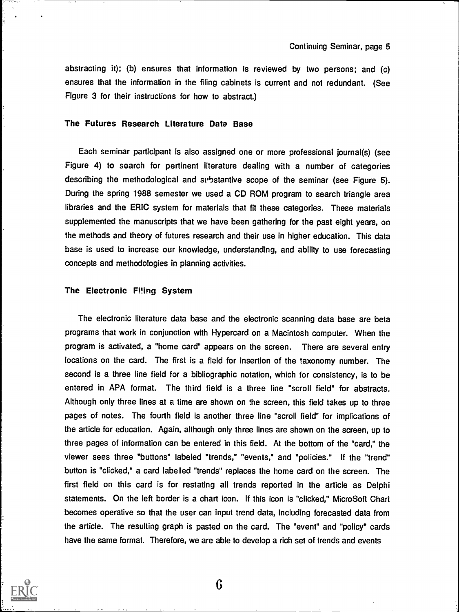abstracting it); (b) ensures that information is reviewed by two persons; and (c) ensures that the information in the filing cabinets is current and not redundant. (See Figure 3 for their instructions for how to abstract.)

## The Futures Research Literature Data Base

Each seminar participant is also assigned one or more professional journal(s) (see Figure 4) to search for pertinent literature dealing with a number of categories describing the methodological and substantive scope of the seminar (see Figure 5). During the spring 1988 semester we used a CD ROM program to search triangle area libraries and the ERIC system for materials that fit these categories. These materials supplemented the manuscripts that we have been gathering for the past eight years, on the methods and theory of futures research and their use in higher education. This data base is used to increase our knowledge, understanding, and ability to use forecasting concepts and methodologies in planning activities.

#### The Electronic Filing System

The electronic literature data base and the electronic scanning data base are beta programs that work in conjunction with Hypercard on a Macintosh computer. When the program is activated, a "home card" appears on the screen. There are several entry locations on the card. The first is a field for insertion of the taxonomy number. The second is a three line field for a bibliographic notation, which for consistency, is to be entered in APA format. The third field is a three line "scroll field" for abstracts. Although only three lines at a time are shown on the screen, this field takes up to three pages of notes. The fourth field is another three line "scroll field" for implications of the article for education. Again, although only three lines are shown on the screen, up to three pages of information can be entered in this field. At the bottom of the "card," the viewer sees three "buttons" labeled "trends," "events," and "policies." If the "trend" button is "clicked," a card labelled "trends" replaces the home card on the screen. The first field on this card is for restating all trends reported in the article as Delphi statements. On the left border is a chart icon. If this icon is "clicked," MicroSoft Chart becomes operative so that the user can input trend data, including forecasted data from the article. The resulting graph is pasted on the card. The "event" and "policy" cards have the same format. Therefore, we are able to develop a rich set of trends and events

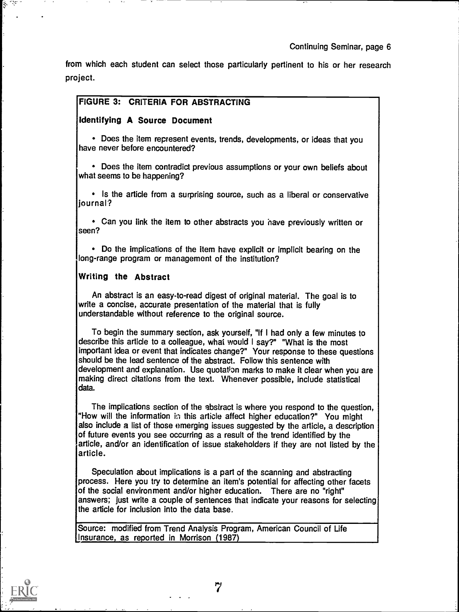from which each student can select those particularly pertinent to his or her research project.

## FIGURE 3: CRITERIA FOR ABSTRACTING

## Identifying A Source Document

Does the item represent events, trends, developments, or ideas that you have never before encountered?

Does the item contradict previous assumptions or your own beliefs about what seems to be happening?

• Is the article from a surprising source, such as a liberal or conservative journal?

Can you link the item to other abstracts you have previously written or seen?

Do the implications of the item have explicit or implicit bearing on the long-range program or management of the institution?

## Writing the Abstract

An abstract is an easy-to-read digest of original material. The goal is to write a concise, accurate presentation of the material that is fully understandable without reference to the original source.

To begin the summary section, ask yourself, "If I had only a few minutes to describe this article to a colleague, what would I say?" "What is the most important idea or event that indicates change?" Your response to these questions should be the lead sentence of the abstract. Follow this sentence with development and explanation. Use quotation marks to make it clear when you are making direct citations from the text. Whenever possible, include statistical data.

The implications section of the abstract is where you respond to the question, "How will the information in this article affect higher education?" You might also include a list of those emerging issues suggested by the article, a description of future events you see occurring as a result of the trend identified by the article, and/or an identification of issue stakeholders if they are not listed by the article.

Speculation about implications is a part of the scanning and abstracting process. Here you try to determine an item's potential for affecting other facets of the social environment and/or higher education. There are no "right" answers; just write a couple of sentences that indicate your reasons for selecting the article for inclusion into the data base.

Source: modified from Trend Analysis Program, American Council of Life Insurance, as reported in Morrison (1987)

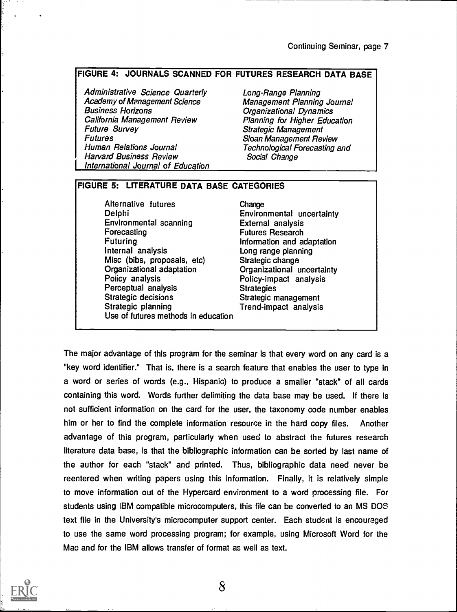## FIGURE 4: JOURNALS SCANNED FOR FUTURES RESEARCH DATA BASE

**International Journal of Education** Administrative Science Quarterly Academy of Management Science Business Horizons California Management Review Future Survey Futures Human Relations Journal Harvard Business Review

Long-Range Planning Management Planning Journal Organizational Dynamics Planning for Higher Education Strategic Management Sloan Management Review Technological Forecasting and Social Change

## FIGURE 5: LITERATURE DATA BASE CATEGORIES

Alternative futures Delphi Environmental scanning Forecasting Futuring Internal analysis Misc (bibs, proposals, etc) Organizational adaptation Policy analysis Perceptual analysis Strategic decisions Strategic planning Use of futures methods in education

Change Environmental uncertainty External analysis Futures Research Information and adaptation Long range planning Strategic change Organizational uncertainty Policy-impact analysis **Strategies** Strategic management Trend-impact analysis

The major advantage of this program for the seminar is that every word on any card is a "key word identifier." That is, there is a search feature that enables the user to type in a word or series of words (e.g., Hispanic) to produce a smaller "stack" of all cards containing this word. Words further delimiting the data base may be used. If there is not sufficient information on the card for the user, the taxonomy code number enables him or her to find the complete information resource in the hard copy files. Another advantage of this program, particularly when used to abstract the futures research literature data base, is that the bibliographic information can be sorted by last name of the author for each "stack" and printed. Thus, bibliographic data need never be reentered when writing papers using this information. Finally, it is relatively simple to move information out of the Hypercard environment to a word processing file. For students using IBM compatible microcomputers, this file can be converted to an MS DOS text file in the University's microcomputer support center. Each student is encouraged to use the same word processing program; for example, using Microsoft Word for the Mac and for the IBM allows transfer of format as well as text.

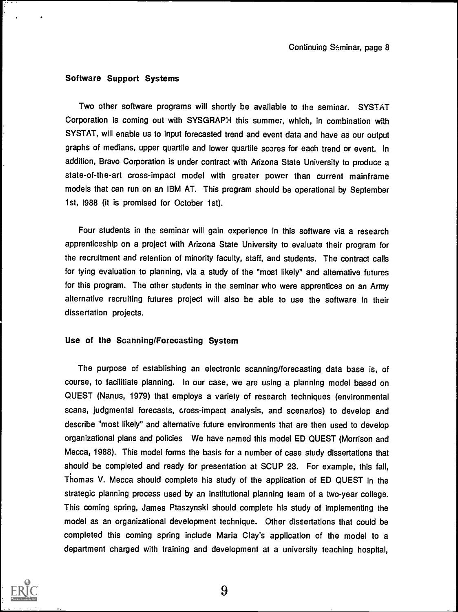#### Software Support Systems

Two other software programs will shortly be available to the seminar. SYSTAT Corporation is coming out with SYSGRAPH this summer, which, in combination with SYSTAT, will enable us to input forecasted trend and event data and have as our output graphs of medians, upper quartile and lower quartile scores for each trend or event. In addition, Bravo Corporation is under contract with Arizona State University to produce a state-of-the-art cross-impact model with greater power than current mainframe models that can run on an IBM AT. This program should be operational by September 1st, 1988 (it is promised for October 1st).

Four students in the seminar will gain experience in this software via a research apprenticeship on a project with Arizona State University to evaluate their program for the recruitment and retention of minority faculty, staff, and students. The contract calls for tying evaluation to planning, via a study of the "most likely" and alternative futures for this program. The other students in the seminar who were apprentices on an Army alternative recruiting futures project will also be able to use the software in their dissertation projects.

### Use of the Scanning/Forecasting System

The purpose of establishing an electronic scanning/forecasting data base is, of course, to facilitiate planning. In our case, we are using a planning model based on QUEST (Nanus, 1979) that employs a variety of research techniques (environmental scans, judgmental forecasts, cross-impact analysis, and scenarios) to develop and describe "most likely" and alternative future environments that are then used to develop organizational plans and policies We have named this model ED QUEST (Morrison and Mecca, 1988). This model forms the basis for a number of case study dissertations that should be completed and ready for presentation at SCUP 23. For example, this fall, Thomas V. Mecca should complete his study of the application of ED QUEST in the strategic planning process used by an institutional planning team of a two-year college. This coming spring, James Ptaszynski should complete his study of implementing the model as an organizational development technique. Other dissertations that could be completed this coming spring include Maria Clay's application of the model to a department charged with training and development at a university teaching hospital,

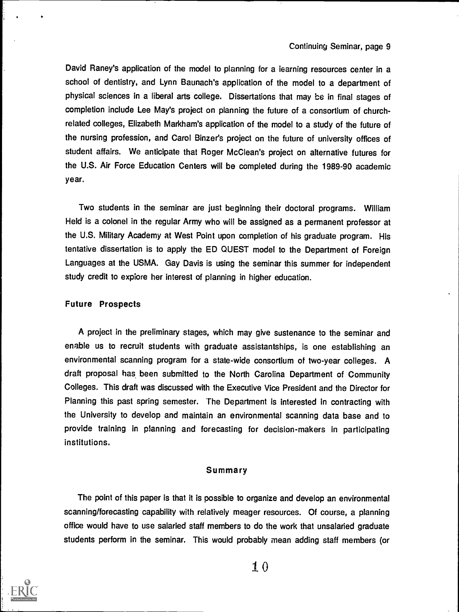## Continuing Seminar, page 9

David Raney's application of the model to planning for a learning resources center in a school of dentistry, and Lynn Baunach's application of the model to a department of physical sciences in a liberal arts college. Dissertations that may be in final stages of completion include Lee May's project on planning the future of a consortium of churchrelated colleges, Elizabeth Markham's application of the model to a study of the future of the nursing profession, and Carol Binzer's project on the future of university offices of student affairs. We anticipate that Roger McClean's project on alternative futures for the U.S. Air Force Education Centers will be completed during the 1989-90 academic year.

Two students in the seminar are just beginning their doctoral programs. William Held is a colonel in the regular Army who will be assigned as a permanent professor at the U.S. Military Academy at West Point upon completion of his graduate program. His tentative dissertation is to apply the ED QUEST model to the Department of Foreign Languages at the USMA. Gay Davis is using the seminar this summer for independent study credit to explore her interest of planning in higher education.

#### Future Prospects

A project in the preliminary stages, which may give sustenance to the seminar and enable us to recruit students with graduate assistantships, is one establishing an environmental scanning program for a state-wide consortium of two-year colleges. A draft proposal has, been submitted to the North Carolina Department of Community Colleges. This draft was discussed with the Executive Vice President and the Director for Planning this past spring semester. The Department is interested in contracting with the University to develop and maintain an environmental scanning data base and to provide training in planning and forecasting for decision-makers in participating institutions.

#### Summary

The point of this paper is that it is possible to organize and develop an environmental scanning/forecasting capability with relatively meager resources. Of course, a planning office would have to use salaried staff members to do the work that unsalaried graduate students perform in the seminar. This would probably mean adding staff members (or